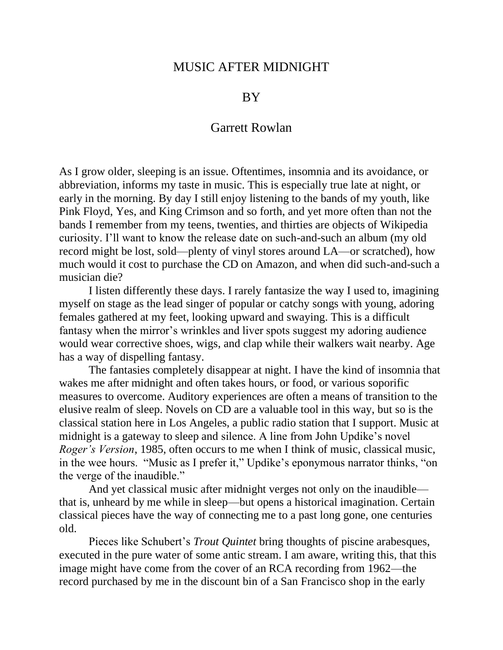## MUSIC AFTER MIDNIGHT

## BY

## Garrett Rowlan

As I grow older, sleeping is an issue. Oftentimes, insomnia and its avoidance, or abbreviation, informs my taste in music. This is especially true late at night, or early in the morning. By day I still enjoy listening to the bands of my youth, like Pink Floyd, Yes, and King Crimson and so forth, and yet more often than not the bands I remember from my teens, twenties, and thirties are objects of Wikipedia curiosity. I'll want to know the release date on such-and-such an album (my old record might be lost, sold—plenty of vinyl stores around LA—or scratched), how much would it cost to purchase the CD on Amazon, and when did such-and-such a musician die?

I listen differently these days. I rarely fantasize the way I used to, imagining myself on stage as the lead singer of popular or catchy songs with young, adoring females gathered at my feet, looking upward and swaying. This is a difficult fantasy when the mirror's wrinkles and liver spots suggest my adoring audience would wear corrective shoes, wigs, and clap while their walkers wait nearby. Age has a way of dispelling fantasy.

The fantasies completely disappear at night. I have the kind of insomnia that wakes me after midnight and often takes hours, or food, or various soporific measures to overcome. Auditory experiences are often a means of transition to the elusive realm of sleep. Novels on CD are a valuable tool in this way, but so is the classical station here in Los Angeles, a public radio station that I support. Music at midnight is a gateway to sleep and silence. A line from John Updike's novel *Roger's Version*, 1985, often occurs to me when I think of music, classical music, in the wee hours. "Music as I prefer it," Updike's eponymous narrator thinks, "on the verge of the inaudible."

And yet classical music after midnight verges not only on the inaudible that is, unheard by me while in sleep—but opens a historical imagination. Certain classical pieces have the way of connecting me to a past long gone, one centuries old.

Pieces like Schubert's *Trout Quintet* bring thoughts of piscine arabesques, executed in the pure water of some antic stream. I am aware, writing this, that this image might have come from the cover of an RCA recording from 1962—the record purchased by me in the discount bin of a San Francisco shop in the early